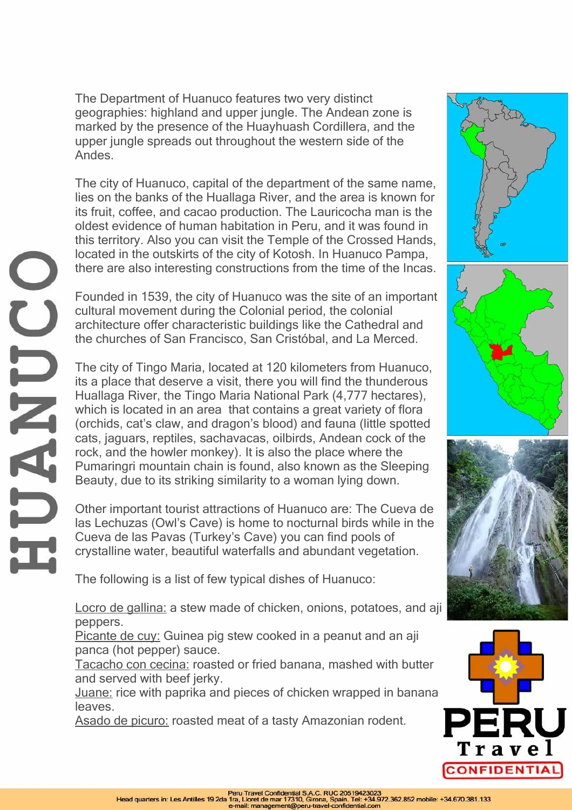The Department of Huanuco features two very distinct geographies: highland and upper jungle. The Andean zone is marked by the presence of the Huayhuash Cordillera, and the upper jungle spreads out throughout the western side of the Andes.

The city of Huanuco, capital of the department of the same name, lies on the banks of the Huallaga River, and the area is known for its fruit, coffee, and cacao production. The Lauricocha man is the oldest evidence of human habitation in Peru, and it was found in this territory. Also you can visit the Temple of the Crossed Hands, located in the outskirts of the city of Kotosh. In Huanuco Pampa, there are also interesting constructions from the time of the Incas.

Founded in 1539, the city of Huanuco was the site of an important cultural movement during the Colonial period, the colonial architecture offer characteristic buildings like the Cathedral and the churches of San Francisco, San Cristóbal, and La Merced.

The city of Tingo Maria, located at 120 kilometers from Huanuco, its a place that deserve a visit, there you will find the thunderous Huallaga River, the Tingo Maria National Park (4,777 hectares), which is located in an area that contains a great variety of flora (orchids, cat's claw, and dragon's blood) and fauna (little spotted cats, jaguars, reptiles, sachavacas, oilbirds, Andean cock of the rock, and the howler monkey). It is also the place where the Pumaringri mountain chain is found, also known as the Sleeping Beauty, due to its striking similarity to a woman lying down.

Other important tourist attractions of Huanuco are: The Cueva de las Lechuzas (Owl's Cave) is home to nocturnal birds while in the Cueva de las Pavas (Turkey's Cave) you can find pools of crystalline water, beautiful waterfalls and abundant vegetation.

The following is a list of few typical dishes of Huanuco:

Locro de gallina: a stew made of chicken, onions, potatoes, and aji peppers.

Picante de cuy: Guinea pig stew cooked in a peanut and an aji panca (hot pepper) sauce.

Tacacho con cecina: roasted or fried banana, mashed with butter and served with beef jerky.

Juane: rice with paprika and pieces of chicken wrapped in banana leaves.

Asado de picuro: roasted meat of a tasty Amazonian rodent.